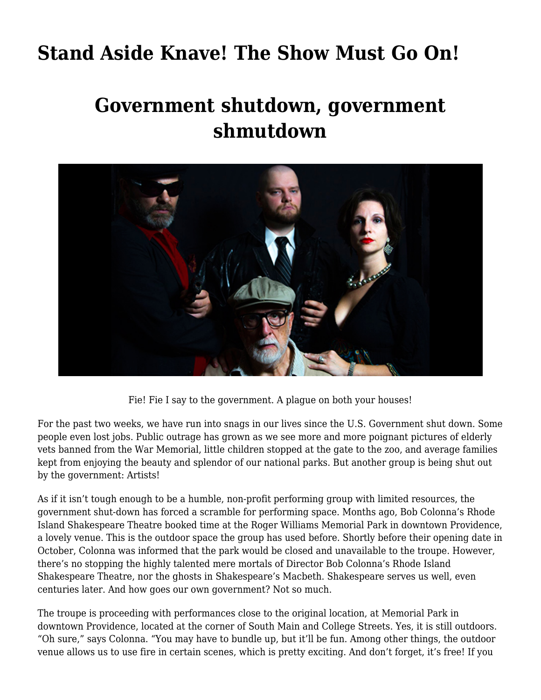## **[Stand Aside Knave! The Show Must Go On!](https://motifri.com/stand-aside-knave-the-show-must-go-on/)**

## **Government shutdown, government shmutdown**



Fie! Fie I say to the government. A plague on both your houses!

For the past two weeks, we have run into snags in our lives since the U.S. Government shut down. Some people even lost jobs. Public outrage has grown as we see more and more poignant pictures of elderly vets banned from the War Memorial, little children stopped at the gate to the zoo, and average families kept from enjoying the beauty and splendor of our national parks. But another group is being shut out by the government: Artists!

As if it isn't tough enough to be a humble, non-profit performing group with limited resources, the government shut-down has forced a scramble for performing space. Months ago, Bob Colonna's Rhode Island Shakespeare Theatre booked time at the Roger Williams Memorial Park in downtown Providence, a lovely venue. This is the outdoor space the group has used before. Shortly before their opening date in October, Colonna was informed that the park would be closed and unavailable to the troupe. However, there's no stopping the highly talented mere mortals of Director Bob Colonna's Rhode Island Shakespeare Theatre, nor the ghosts in Shakespeare's Macbeth. Shakespeare serves us well, even centuries later. And how goes our own government? Not so much.

The troupe is proceeding with performances close to the original location, at Memorial Park in downtown Providence, located at the corner of South Main and College Streets. Yes, it is still outdoors. "Oh sure," says Colonna. "You may have to bundle up, but it'll be fun. Among other things, the outdoor venue allows us to use fire in certain scenes, which is pretty exciting. And don't forget, it's free! If you